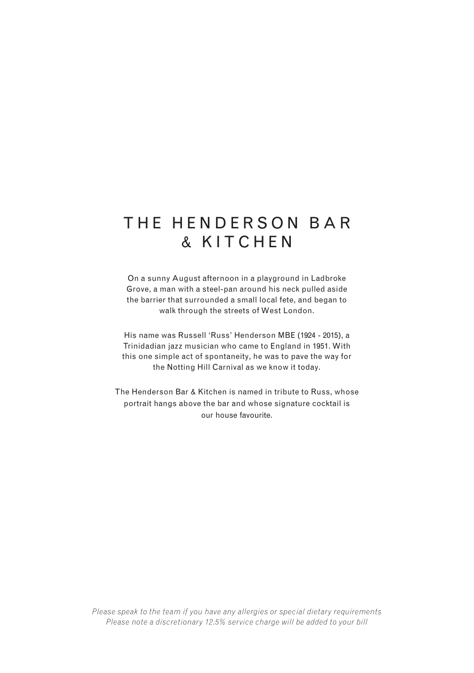# THE HENDERSON BAR & KITCHEN

On a sunny August afternoon in a playground in Ladbroke Grove, a man with a steel-pan around his neck pulled aside the barrier that surrounded a small local fete, and began to walk through the streets of West London.

His name was Russell 'Russ' Henderson MBE (1924 - 2015), a Trinidadian jazz musician who came to England in 1951. With this one simple act of spontaneity, he was to pave the way for the Notting Hill Carnival as we know it today.

The Henderson Bar & Kitchen is named in tribute to Russ, whose portrait hangs above the bar and whose signature cocktail is our house favourite.

*Please speak to the team if you have any allergies or special dietary requirements Please note a discretionary 12.5% service charge will be added to your bill*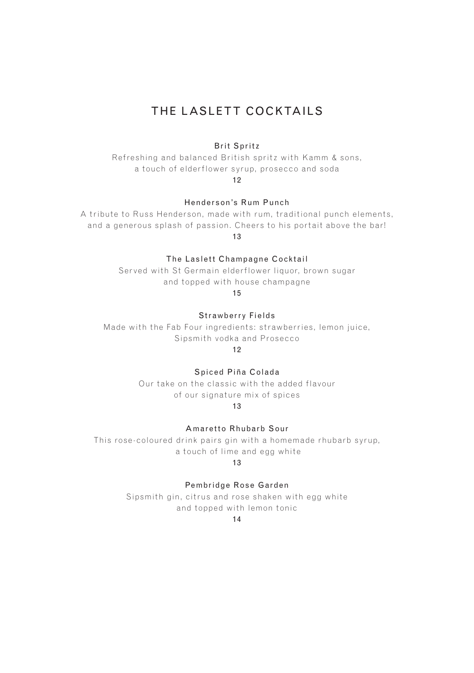### THE LASLETT COCKTAILS

#### Brit Spritz

Refreshing and balanced British spritz with Kamm & sons, a touch of elderflower syrup, prosecco and soda

12

Henderson's Rum Punch

A tribute to Russ Henderson, made with rum, traditional punch elements, and a generous splash of passion. Cheers to his portait above the bar! 13

The Laslett Champagne Cocktail

Served with St Germain elderflower liquor, brown sugar and topped with house champagne

15

Strawberry Fields

Made with the Fab Four ingredients: strawberries, lemon juice, Sipsmith vodka and Prosecco

12

Spiced Piña Colada

Our take on the classic with the added flavour of our signature mix of spices

13

Amaretto Rhubarb Sour

This rose-coloured drink pairs gin with a homemade rhubarb syrup, a touch of lime and egg white

13

Pembridge Rose Garden

Sipsmith gin, citrus and rose shaken with egg white and topped with lemon tonic

14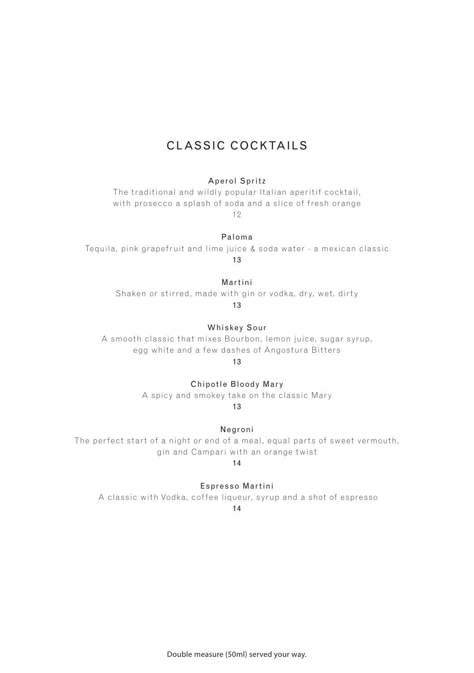## CLASSIC COCKTAILS

#### Aperol Spritz

The traditional and wildly popular Italian aperitif cocktail, with prosecco a splash of soda and a slice of fresh orange 12

#### Paloma

Tequila, pink grapefruit and lime juice & soda water - a mexican classic 13

#### Martini

Shaken or stirred, made with gin or vodka, dry, wet, dirty

13

Whiskey Sour

A smooth classic that mixes Bourbon, lemon juice, sugar syrup, egg white and a few dashes of Angostura Bitters

13

Chipotle Bloody Mary

A spicy and smokey take on the classic Mary

13

Negroni

The perfect start of a night or end of a meal, equal parts of sweet vermouth, gin and Campari with an orange twist

#### 14

Espresso Martini

A classic with Vodka, coffee liqueur, syrup and a shot of espresso 14

Double measure (50ml) served your way.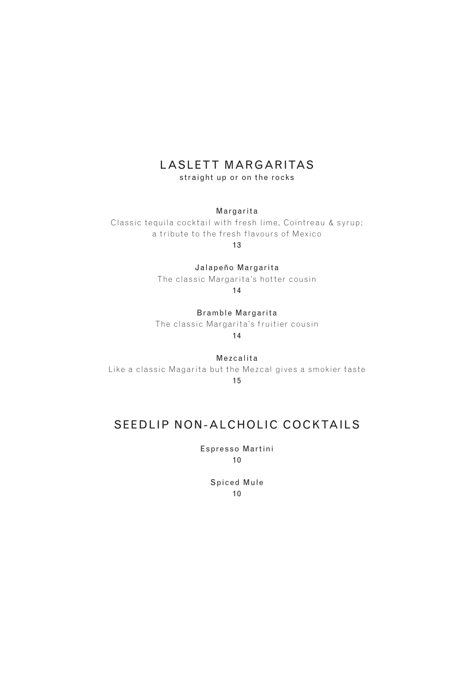## LASLETT MARGARITAS

straight up or on the rocks

Margarita

Classic tequila cocktail with fresh lime, Cointreau & syrup; a tribute to the fresh flavours of Mexico 13

Jalapeño Margarita

The classic Margarita's hotter cousin

14

Bramble Margarita The classic Margarita's fruitier cousin 14

Mezcalita Like a classic Magarita but the Mezcal gives a smokier taste 15

## SEEDLIP NON-ALCHOLIC COCKTAILS

Espresso Martini 10

> Spiced Mule 10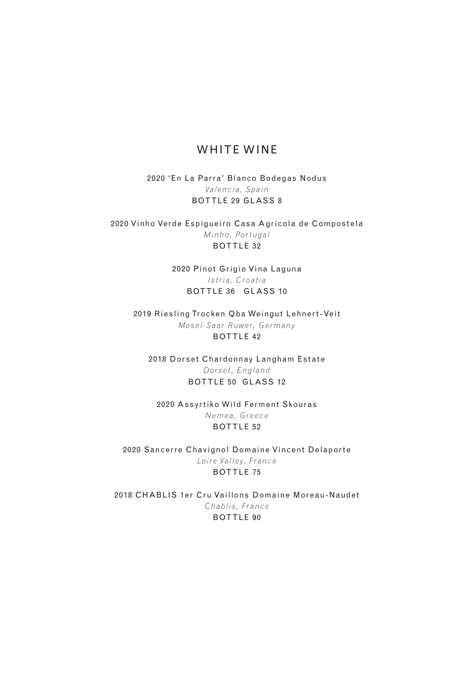#### WHITE WINE

2020 'En La Parra' Blanco Bodegas Nodus *Valencia, Spain* BOTTLE 29 GLASS 8

2020 Vinho Verde Espigueiro Casa Agricola de Compostela *Minho, Portugal* BOTTLE 32

> 2020 Pinot Grigio Vina Laguna *Istria, Croatia* BOTTLE 36 GLASS 10

2019 Riesling Trocken Qba Weingut Lehnert-Veit *Mosel-Saar-Ruwer, Germany* BOTTLE 42

2018 Dorset Chardonnay Langham Estate *Dorset, England* BOTTLE 50 GLASS 12

2020 Assyrtiko Wild Ferment Skouras *Nemea, Greece* BOTTLE 52

2020 Sancerre Chavignol Domaine Vincent Delaporte *Loire Valley, France* BOTTLE 75

2018 CHABLIS 1er Cru Vaillons Domaine Moreau-Naudet *Chablis, France* BOTTLE 90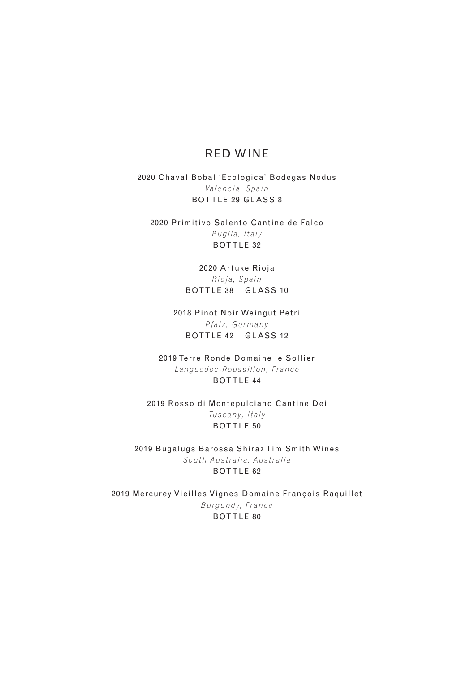#### RED WINE

2020 Chaval Bobal 'Ecologica' Bodegas Nodus *Valencia, Spain* BOTTLE 29 GLASS 8

2020 Primitivo Salento Cantine de Falco *Puglia, Italy* BOTTLE 32

> 2020 Artuke Rioja *Rioja, Spain* BOTTLE 38 GLASS 10

2018 Pinot Noir Weingut Petri *Pfalz, Germany* BOTTLE 42 GLASS 12

2019 Terre Ronde Domaine le Sollier *Languedoc-Roussillon, France* BOTTLE 44

2019 Rosso di Montepulciano Cantine Dei *Tus c a ny, Ita ly* BOTTLE 50

2019 Bugalugs Barossa Shiraz Tim Smith Wines *South Australia, Australia* BOTTLE 62

2019 Mercurey Vieilles Vignes Domaine François Raquillet *Burgundy, France* BOTTLE 80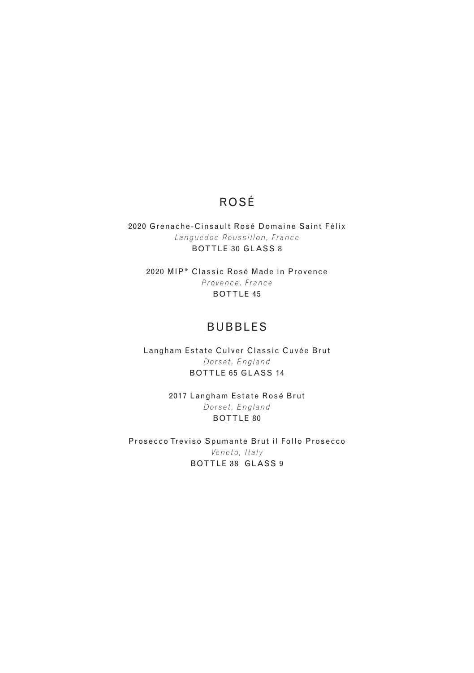## ROSÉ

2020 Grenache-Cinsault Rosé Domaine Saint Félix *Languedoc-Roussillon, France* BOTTLE 30 GLASS 8

2020 MIP\* Classic Rosé Made in Provence *Provence, France* BOTTLE 45

### BUBBLES

Langham Estate Culver Classic Cuvée Brut *Dorset, England* BOTTLE 65 GLASS 14

> 2017 Langham Estate Rosé Brut *Dorset, England* BOTTLE 80

Prosecco Treviso Spumante Brut il Follo Prosecco *Vene to, Italy* BOTTLE 38 GLASS 9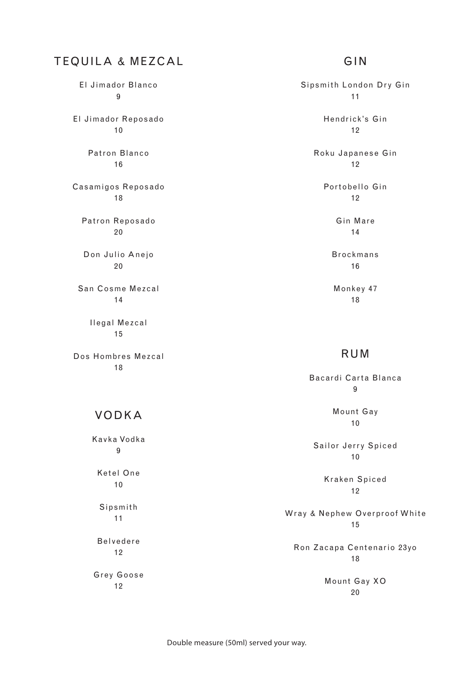## TEQUILA & MEZCAL

El Jimador Blanco 9 El Jimador Reposado 10 Patron Blanco 16 Casamigos Reposado 18 Patron Reposado 20 Don Julio Anejo 20 San Cosme Mezcal 14

> Ilegal Mezcal 15

Dos Hombres Mezcal 18

### VODKA

Kavka Vodka 9

Ketel One 10

Sipsmith 11

Belvedere 12

Grey Goose 12

### GIN

Sipsmith London Dry Gin 11 Hendrick's Gin 12 Roku Japanese Gin 12 Portobello Gin 12 Gin Mare 14 Brockmans 16 Monkey 47 18

#### RUM

Bacardi Carta Blanca  $\alpha$ Mount Gay 10

Sailor Jerry Spiced 10

> Kraken Spiced 12

Wray & Nephew Overproof White 15

Ron Zacapa Centenario 23yo 18

> Mount Gay XO 20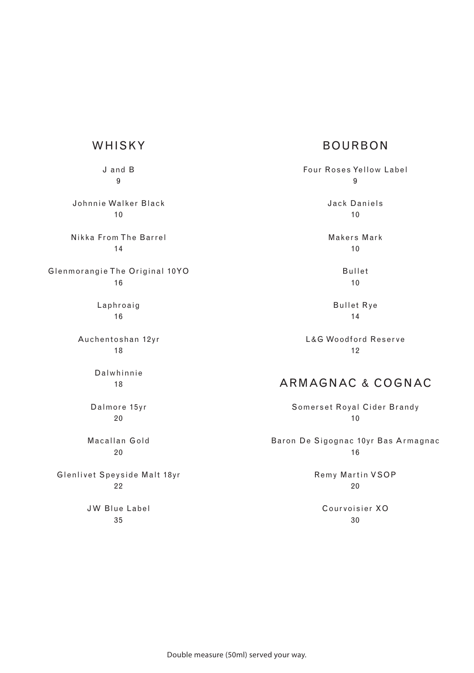### BOURBON

Four Roses Ye llow Labe l 9 Jack Daniels 10

> Makers Mark 10

> > Bullet 10

Bullet Rye 14

L&G Woodford Reser ve 12

## ARMAGNAC & COGNAC

Somerset Royal Cider Brandy 10

Baron De Sigognac 10yr Bas Armagnac 16

> Remy Martin VSOP  $20$

Cour voisier XO 30

## WHISKY

J and B 9

Johnnie Walker Black 10

Nikka From The Barrel 14

Glenmor angie The Original 10YO 16

> Laphroaig 16

Auchentoshan 12yr 18

> Dalwhinnie 18

Dalmore 15yr 20

Macallan Gold 20

Glenlivet Speyside Malt 18yr 22

> JW Blue Label 35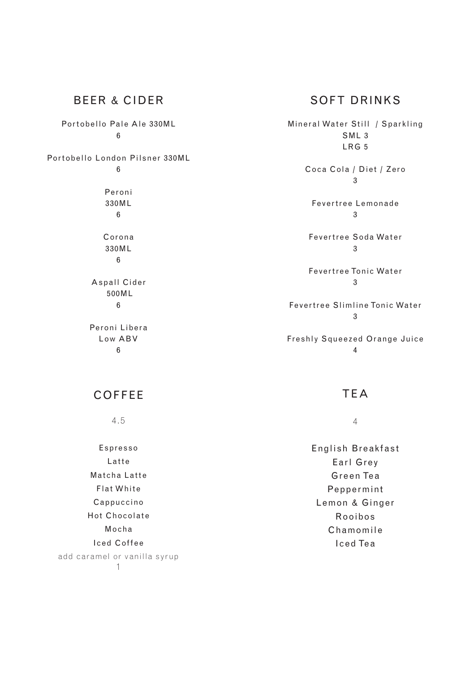### BEER & CIDER

Portobello Pale Ale 330ML 6

Por tobello London Pilsner 330ML 6

> Peroni 330ML 6

Corona 330ML 6

Aspall Cider 500ML 6

Peroni Libera Low ABV 6

### SOFT DRINKS

Mineral Water Still / Sparkling SML 3  $I$  RG 5 Coca Cola / Diet / Zero 3 Fevertree Lemonade 3 Fevertree Soda Water 3 Fevertree Tonic Water  $\overline{3}$ Fevertree Slimline Tonic Water 3 Freshly Squeezed Orange Juice 4

## COFFEE

4.5

Espresso Latte Matcha Latte Flat White Cappuccino Hot Chocolate Mocha Iced Coffee add caramel or vanilla syrup 1

#### TEA

4

English Breakfast Earl Grey Gre en Te a Peppermint Lemon & Ginger Rooibos Chamomile Iced Te a